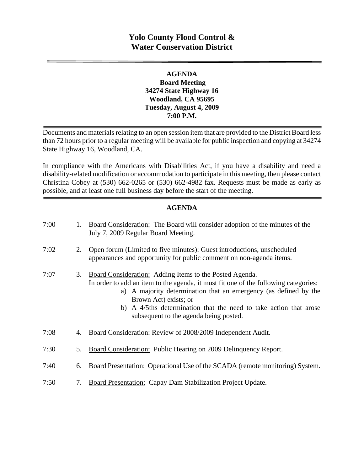# **Yolo County Flood Control & Water Conservation District**

# **AGENDA Board Meeting 34274 State Highway 16 Woodland, CA 95695 Tuesday, August 4, 2009 7:00 P.M.**

Documents and materials relating to an open session item that are provided to the District Board less than 72 hours prior to a regular meeting will be available for public inspection and copying at 34274 State Highway 16, Woodland, CA.

In compliance with the Americans with Disabilities Act, if you have a disability and need a disability-related modification or accommodation to participate in this meeting, then please contact Christina Cobey at (530) 662-0265 or (530) 662-4982 fax. Requests must be made as early as possible, and at least one full business day before the start of the meeting.

# **AGENDA**

| 7:00 | 1. | Board Consideration: The Board will consider adoption of the minutes of the<br>July 7, 2009 Regular Board Meeting.                                                                                                                                                                                                                                         |
|------|----|------------------------------------------------------------------------------------------------------------------------------------------------------------------------------------------------------------------------------------------------------------------------------------------------------------------------------------------------------------|
| 7:02 | 2. | Open forum (Limited to five minutes): Guest introductions, unscheduled<br>appearances and opportunity for public comment on non-agenda items.                                                                                                                                                                                                              |
| 7:07 | 3. | Board Consideration: Adding Items to the Posted Agenda.<br>In order to add an item to the agenda, it must fit one of the following categories:<br>a) A majority determination that an emergency (as defined by the<br>Brown Act) exists; or<br>b) A 4/5ths determination that the need to take action that arose<br>subsequent to the agenda being posted. |
| 7:08 | 4. | Board Consideration: Review of 2008/2009 Independent Audit.                                                                                                                                                                                                                                                                                                |
| 7:30 | 5. | Board Consideration: Public Hearing on 2009 Delinquency Report.                                                                                                                                                                                                                                                                                            |
| 7:40 | 6. | Board Presentation: Operational Use of the SCADA (remote monitoring) System.                                                                                                                                                                                                                                                                               |
| 7:50 | 7. | <b>Board Presentation: Capay Dam Stabilization Project Update.</b>                                                                                                                                                                                                                                                                                         |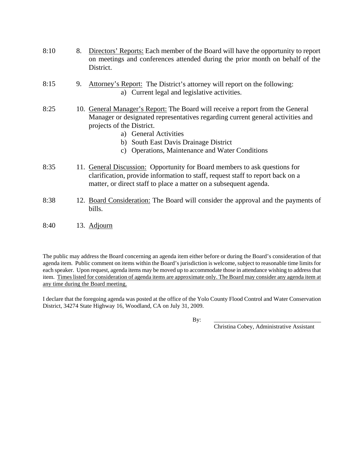- 8:10 8. Directors' Reports: Each member of the Board will have the opportunity to report on meetings and conferences attended during the prior month on behalf of the District.
- 8:15 9. Attorney's Report: The District's attorney will report on the following: a) Current legal and legislative activities.
- 8:25 10. General Manager's Report: The Board will receive a report from the General Manager or designated representatives regarding current general activities and projects of the District.
	- a) General Activities
	- b) South East Davis Drainage District
	- c) Operations, Maintenance and Water Conditions
- 8:35 11. General Discussion: Opportunity for Board members to ask questions for clarification, provide information to staff, request staff to report back on a matter, or direct staff to place a matter on a subsequent agenda.
- 8:38 12. Board Consideration: The Board will consider the approval and the payments of bills.
- 8:40 13. Adjourn

The public may address the Board concerning an agenda item either before or during the Board's consideration of that agenda item. Public comment on items within the Board's jurisdiction is welcome, subject to reasonable time limits for each speaker. Upon request, agenda items may be moved up to accommodate those in attendance wishing to address that item. Times listed for consideration of agenda items are approximate only. The Board may consider any agenda item at any time during the Board meeting.

I declare that the foregoing agenda was posted at the office of the Yolo County Flood Control and Water Conservation District, 34274 State Highway 16, Woodland, CA on July 31, 2009.

By: \_\_\_\_\_\_\_\_\_\_\_\_\_\_\_\_\_\_\_\_\_\_\_\_\_\_\_\_\_\_\_\_\_\_\_\_\_

Christina Cobey, Administrative Assistant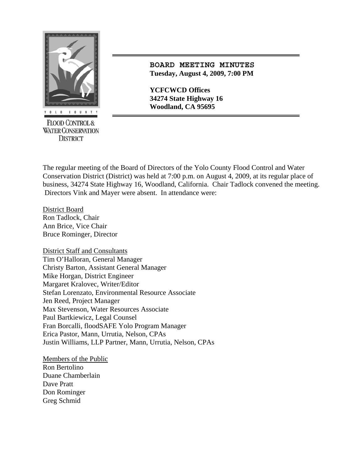

**FLOOD CONTROL & WATER CONSERVATION DISTRICT** 

# **BOARD MEETING MINUTES Tuesday, August 4, 2009, 7:00 PM**

**YCFCWCD Offices 34274 State Highway 16** 

The regular meeting of the Board of Directors of the Yolo County Flood Control and Water Conservation District (District) was held at 7:00 p.m. on August 4, 2009, at its regular place of business, 34274 State Highway 16, Woodland, California. Chair Tadlock convened the meeting. Directors Vink and Mayer were absent. In attendance were:

District Board Ron Tadlock, Chair Ann Brice, Vice Chair Bruce Rominger, Director

District Staff and Consultants Tim O'Halloran, General Manager Christy Barton, Assistant General Manager Mike Horgan, District Engineer Margaret Kralovec, Writer/Editor Stefan Lorenzato, Environmental Resource Associate Jen Reed, Project Manager Max Stevenson, Water Resources Associate Paul Bartkiewicz, Legal Counsel Fran Borcalli, floodSAFE Yolo Program Manager Erica Pastor, Mann, Urrutia, Nelson, CPAs Justin Williams, LLP Partner, Mann, Urrutia, Nelson, CPAs

Members of the Public Ron Bertolino Duane Chamberlain Dave Pratt Don Rominger Greg Schmid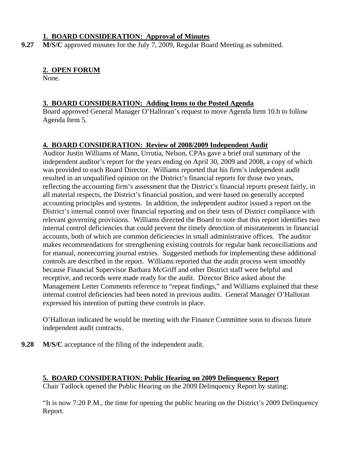# **1. BOARD CONSIDERATION: Approval of Minutes**

**9.27** M/S/C approved minutes for the July 7, 2009, Regular Board Meeting as submitted.

# **2. OPEN FORUM**

None.

# **3. BOARD CONSIDERATION: Adding Items to the Posted Agenda**

Board approved General Manager O'Halloran's request to move Agenda Item 10.b to follow Agenda Item 5.

# **4. BOARD CONSIDERATION: Review of 2008/2009 Independent Audit**

Auditor Justin Williams of Mann, Urrutia, Nelson, CPAs gave a brief oral summary of the independent auditor's report for the years ending on April 30, 2009 and 2008, a copy of which was provided to each Board Director. Williams reported that his firm's independent audit resulted in an unqualified opinion on the District's financial reports for those two years, reflecting the accounting firm's assessment that the District's financial reports present fairly, in all material respects, the District's financial position, and were based on generally accepted accounting principles and systems. In addition, the independent auditor issued a report on the District's internal control over financial reporting and on their tests of District compliance with relevant governing provisions. Williams directed the Board to note that this report identifies two internal control deficiencies that could prevent the timely detection of misstatements in financial accounts, both of which are common deficiencies in small administrative offices. The auditor makes recommendations for strengthening existing controls for regular bank reconciliations and for manual, nonrecurring journal entries. Suggested methods for implementing these additional controls are described in the report. Williams reported that the audit process went smoothly because Financial Supervisor Barbara McGriff and other District staff were helpful and receptive, and records were made ready for the audit. Director Brice asked about the Management Letter Comments reference to "repeat findings," and Williams explained that these internal control deficiencies had been noted in previous audits. General Manager O'Halloran expressed his intention of putting these controls in place.

O'Halloran indicated he would be meeting with the Finance Committee soon to discuss future independent audit contracts.

**9.28** M/S/C acceptance of the filing of the independent audit.

# **5. BOARD CONSIDERATION: Public Hearing on 2009 Delinquency Report**

Chair Tadlock opened the Public Hearing on the 2009 Delinquency Report by stating:

"It is now 7:20 P.M., the time for opening the public hearing on the District's 2009 Delinquency Report.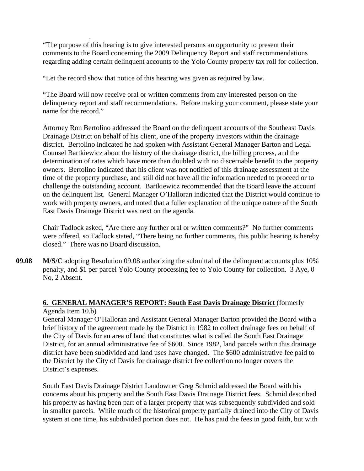"The purpose of this hearing is to give interested persons an opportunity to present their comments to the Board concerning the 2009 Delinquency Report and staff recommendations regarding adding certain delinquent accounts to the Yolo County property tax roll for collection.

"Let the record show that notice of this hearing was given as required by law.

"The Board will now receive oral or written comments from any interested person on the delinquency report and staff recommendations. Before making your comment, please state your name for the record."

Attorney Ron Bertolino addressed the Board on the delinquent accounts of the Southeast Davis Drainage District on behalf of his client, one of the property investors within the drainage district. Bertolino indicated he had spoken with Assistant General Manager Barton and Legal Counsel Bartkiewicz about the history of the drainage district, the billing process, and the determination of rates which have more than doubled with no discernable benefit to the property owners. Bertolino indicated that his client was not notified of this drainage assessment at the time of the property purchase, and still did not have all the information needed to proceed or to challenge the outstanding account. Bartkiewicz recommended that the Board leave the account on the delinquent list. General Manager O'Halloran indicated that the District would continue to work with property owners, and noted that a fuller explanation of the unique nature of the South East Davis Drainage District was next on the agenda.

Chair Tadlock asked, "Are there any further oral or written comments?" No further comments were offered, so Tadlock stated, "There being no further comments, this public hearing is hereby closed." There was no Board discussion.

**09.08 M/S/C** adopting Resolution 09.08 authorizing the submittal of the delinquent accounts plus 10% penalty, and \$1 per parcel Yolo County processing fee to Yolo County for collection. 3 Aye, 0 No, 2 Absent.

# **6. GENERAL MANAGER'S REPORT: South East Davis Drainage District** (formerly

#### Agenda Item 10.b)

.

General Manager O'Halloran and Assistant General Manager Barton provided the Board with a brief history of the agreement made by the District in 1982 to collect drainage fees on behalf of the City of Davis for an area of land that constitutes what is called the South East Drainage District, for an annual administrative fee of \$600. Since 1982, land parcels within this drainage district have been subdivided and land uses have changed. The \$600 administrative fee paid to the District by the City of Davis for drainage district fee collection no longer covers the District's expenses.

South East Davis Drainage District Landowner Greg Schmid addressed the Board with his concerns about his property and the South East Davis Drainage District fees. Schmid described his property as having been part of a larger property that was subsequently subdivided and sold in smaller parcels. While much of the historical property partially drained into the City of Davis system at one time, his subdivided portion does not. He has paid the fees in good faith, but with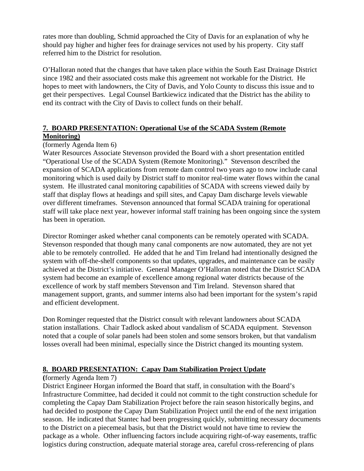rates more than doubling, Schmid approached the City of Davis for an explanation of why he should pay higher and higher fees for drainage services not used by his property. City staff referred him to the District for resolution.

O'Halloran noted that the changes that have taken place within the South East Drainage District since 1982 and their associated costs make this agreement not workable for the District. He hopes to meet with landowners, the City of Davis, and Yolo County to discuss this issue and to get their perspectives. Legal Counsel Bartkiewicz indicated that the District has the ability to end its contract with the City of Davis to collect funds on their behalf.

# **7. BOARD PRESENTATION: Operational Use of the SCADA System (Remote Monitoring)**

# (formerly Agenda Item 6)

 Water Resources Associate Stevenson provided the Board with a short presentation entitled "Operational Use of the SCADA System (Remote Monitoring)." Stevenson described the expansion of SCADA applications from remote dam control two years ago to now include canal monitoring which is used daily by District staff to monitor real-time water flows within the canal system. He illustrated canal monitoring capabilities of SCADA with screens viewed daily by staff that display flows at headings and spill sites, and Capay Dam discharge levels viewable over different timeframes. Stevenson announced that formal SCADA training for operational staff will take place next year, however informal staff training has been ongoing since the system has been in operation.

Director Rominger asked whether canal components can be remotely operated with SCADA. Stevenson responded that though many canal components are now automated, they are not yet able to be remotely controlled. He added that he and Tim Ireland had intentionally designed the system with off-the-shelf components so that updates, upgrades, and maintenance can be easily achieved at the District's initiative. General Manager O'Halloran noted that the District SCADA system had become an example of excellence among regional water districts because of the excellence of work by staff members Stevenson and Tim Ireland. Stevenson shared that management support, grants, and summer interns also had been important for the system's rapid and efficient development.

Don Rominger requested that the District consult with relevant landowners about SCADA station installations. Chair Tadlock asked about vandalism of SCADA equipment. Stevenson noted that a couple of solar panels had been stolen and some sensors broken, but that vandalism losses overall had been minimal, especially since the District changed its mounting system.

# **8. BOARD PRESENTATION: Capay Dam Stabilization Project Update**

#### **(**formerly Agenda Item 7)

 District Engineer Horgan informed the Board that staff, in consultation with the Board's Infrastructure Committee, had decided it could not commit to the tight construction schedule for completing the Capay Dam Stabilization Project before the rain season historically begins, and had decided to postpone the Capay Dam Stabilization Project until the end of the next irrigation season. He indicated that Stantec had been progressing quickly, submitting necessary documents to the District on a piecemeal basis, but that the District would not have time to review the package as a whole. Other influencing factors include acquiring right-of-way easements, traffic logistics during construction, adequate material storage area, careful cross-referencing of plans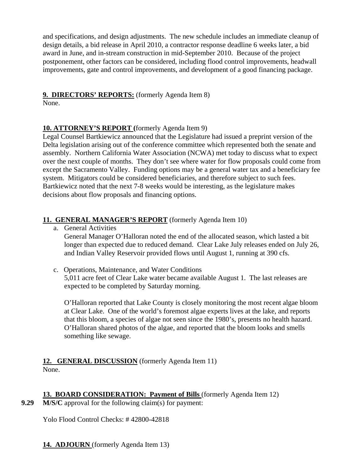and specifications, and design adjustments. The new schedule includes an immediate cleanup of design details, a bid release in April 2010, a contractor response deadline 6 weeks later, a bid award in June, and in-stream construction in mid-September 2010. Because of the project postponement, other factors can be considered, including flood control improvements, headwall improvements, gate and control improvements, and development of a good financing package.

# **9. DIRECTORS' REPORTS:** (formerly Agenda Item 8)

None.

# **10. ATTORNEY'S REPORT (**formerly Agenda Item 9)

Legal Counsel Bartkiewicz announced that the Legislature had issued a preprint version of the Delta legislation arising out of the conference committee which represented both the senate and assembly. Northern California Water Association (NCWA) met today to discuss what to expect over the next couple of months. They don't see where water for flow proposals could come from except the Sacramento Valley. Funding options may be a general water tax and a beneficiary fee system. Mitigators could be considered beneficiaries, and therefore subject to such fees. Bartkiewicz noted that the next 7-8 weeks would be interesting, as the legislature makes decisions about flow proposals and financing options.

# **11. GENERAL MANAGER'S REPORT** (formerly Agenda Item 10)

a. General Activities

General Manager O'Halloran noted the end of the allocated season, which lasted a bit longer than expected due to reduced demand. Clear Lake July releases ended on July 26, and Indian Valley Reservoir provided flows until August 1, running at 390 cfs.

c. Operations, Maintenance, and Water Conditions 5,011 acre feet of Clear Lake water became available August 1. The last releases are expected to be completed by Saturday morning.

O'Halloran reported that Lake County is closely monitoring the most recent algae bloom at Clear Lake. One of the world's foremost algae experts lives at the lake, and reports that this bloom, a species of algae not seen since the 1980's, presents no health hazard. O'Halloran shared photos of the algae, and reported that the bloom looks and smells something like sewage.

#### **12. GENERAL DISCUSSION** (formerly Agenda Item 11) None.

# **13. BOARD CONSIDERATION: Payment of Bills** (formerly Agenda Item 12)

**9.29** M/S/C approval for the following claim(s) for payment:

Yolo Flood Control Checks: # 42800-42818

**14. ADJOURN** (formerly Agenda Item 13)